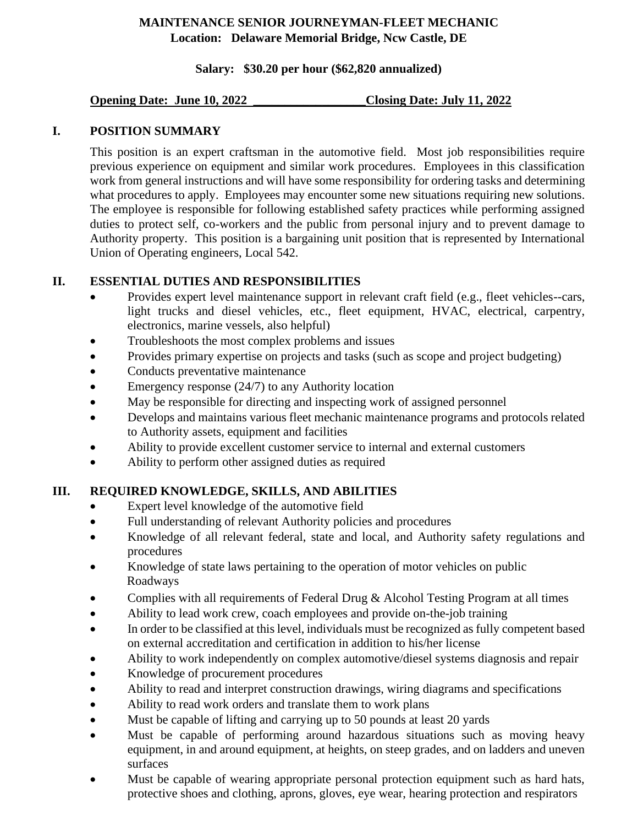# **MAINTENANCE SENIOR JOURNEYMAN-FLEET MECHANIC Location: Delaware Memorial Bridge, Ncw Castle, DE**

## **Salary: \$30.20 per hour (\$62,820 annualized)**

### **Opening Date: June 10, 2022 \_\_\_\_\_\_\_\_\_\_\_\_\_\_\_\_\_\_Closing Date: July 11, 2022**

# **I. POSITION SUMMARY**

This position is an expert craftsman in the automotive field. Most job responsibilities require previous experience on equipment and similar work procedures. Employees in this classification work from general instructions and will have some responsibility for ordering tasks and determining what procedures to apply. Employees may encounter some new situations requiring new solutions. The employee is responsible for following established safety practices while performing assigned duties to protect self, co-workers and the public from personal injury and to prevent damage to Authority property. This position is a bargaining unit position that is represented by International Union of Operating engineers, Local 542.

# **II. ESSENTIAL DUTIES AND RESPONSIBILITIES**

- Provides expert level maintenance support in relevant craft field (e.g., fleet vehicles--cars, light trucks and diesel vehicles, etc., fleet equipment, HVAC, electrical, carpentry, electronics, marine vessels, also helpful)
- Troubleshoots the most complex problems and issues
- Provides primary expertise on projects and tasks (such as scope and project budgeting)
- Conducts preventative maintenance
- Emergency response (24/7) to any Authority location
- May be responsible for directing and inspecting work of assigned personnel
- Develops and maintains various fleet mechanic maintenance programs and protocols related to Authority assets, equipment and facilities
- Ability to provide excellent customer service to internal and external customers
- Ability to perform other assigned duties as required

# **III. REQUIRED KNOWLEDGE, SKILLS, AND ABILITIES**

- Expert level knowledge of the automotive field
- Full understanding of relevant Authority policies and procedures
- Knowledge of all relevant federal, state and local, and Authority safety regulations and procedures
- Knowledge of state laws pertaining to the operation of motor vehicles on public Roadways
- Complies with all requirements of Federal Drug  $&$  Alcohol Testing Program at all times
- Ability to lead work crew, coach employees and provide on-the-job training
- In order to be classified at this level, individuals must be recognized as fully competent based on external accreditation and certification in addition to his/her license
- Ability to work independently on complex automotive/diesel systems diagnosis and repair
- Knowledge of procurement procedures
- Ability to read and interpret construction drawings, wiring diagrams and specifications
- Ability to read work orders and translate them to work plans
- Must be capable of lifting and carrying up to 50 pounds at least 20 yards
- Must be capable of performing around hazardous situations such as moving heavy equipment, in and around equipment, at heights, on steep grades, and on ladders and uneven surfaces
- Must be capable of wearing appropriate personal protection equipment such as hard hats, protective shoes and clothing, aprons, gloves, eye wear, hearing protection and respirators